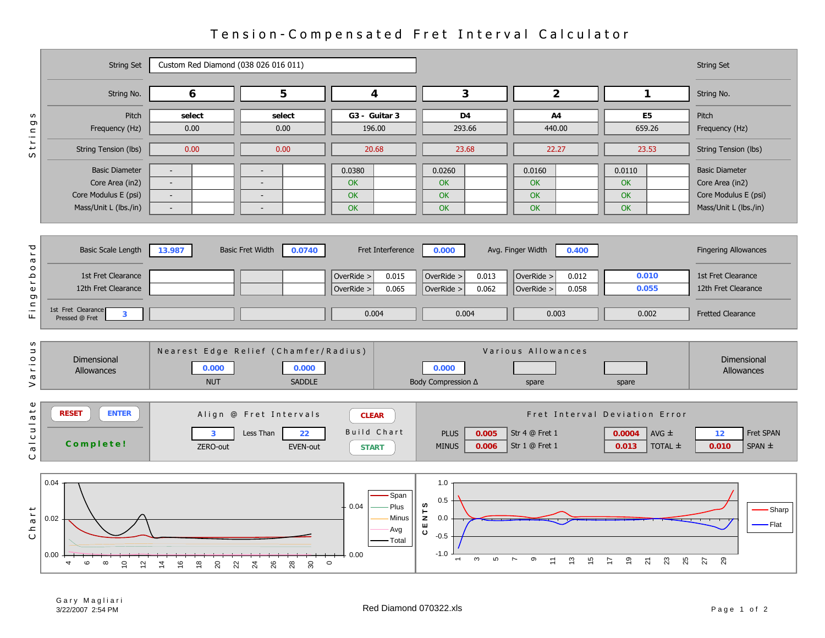|                                              | <b>String Set</b>                                                                            | Custom Red Diamond (038 026 016 011)                       |                                                                                  |                                                                     |                                                                                                       |                                                   |                                                                          | <b>String Set</b>                                                                         |
|----------------------------------------------|----------------------------------------------------------------------------------------------|------------------------------------------------------------|----------------------------------------------------------------------------------|---------------------------------------------------------------------|-------------------------------------------------------------------------------------------------------|---------------------------------------------------|--------------------------------------------------------------------------|-------------------------------------------------------------------------------------------|
|                                              | String No.                                                                                   | 6                                                          | 5                                                                                | 3<br>4                                                              |                                                                                                       | $\overline{2}$                                    | $\mathbf{1}$                                                             | String No.                                                                                |
| S<br>tring                                   | Pitch<br>Frequency (Hz)                                                                      | select<br>0.00                                             | select<br>0.00                                                                   | G3 - Guitar 3<br>196.00                                             | D <sub>4</sub><br>293.66                                                                              | A4<br>440.00                                      | E <sub>5</sub><br>659.26                                                 | Pitch<br>Frequency (Hz)                                                                   |
| S                                            | String Tension (lbs)                                                                         | 0.00                                                       | 0.00                                                                             | 20.68                                                               | 23.68                                                                                                 | 22.27                                             | 23.53                                                                    | String Tension (lbs)                                                                      |
|                                              | <b>Basic Diameter</b><br>Core Area (in2)<br>Core Modulus E (psi)<br>Mass/Unit L (lbs./in)    | $\sim$<br>$\blacksquare$<br>$\sim$<br>$\sim$               | $\overline{a}$<br>$\overline{\phantom{a}}$<br>$\sim$<br>$\overline{\phantom{a}}$ | 0.0380<br>OK<br>OK<br><b>OK</b>                                     | 0.0260<br><b>OK</b><br>OK<br>OK                                                                       | 0.0160<br><b>OK</b><br><b>OK</b><br><b>OK</b>     | 0.0110<br>OK<br><b>OK</b><br>OK                                          | <b>Basic Diameter</b><br>Core Area (in2)<br>Core Modulus E (psi)<br>Mass/Unit L (lbs./in) |
| σ<br>$\overline{\phantom{a}}$<br>$\varpi$    | <b>Basic Scale Length</b>                                                                    | 13.987                                                     | <b>Basic Fret Width</b><br>0.0740                                                | Fret Interference                                                   | 0.000                                                                                                 | Avg. Finger Width<br>0.400                        |                                                                          | <b>Fingering Allowances</b>                                                               |
| $\circ$<br>م<br>1<br>$\pmb{\mathbb{U}}$<br>ō | 1st Fret Clearance<br>12th Fret Clearance                                                    |                                                            |                                                                                  | OverRide ><br>0.015<br>0.065<br>OverRide >                          | OverRide ><br>0.013<br>0.062<br>OverRide >                                                            | OverRide ><br>0.012<br>0.058<br>OverRide >        | 0.010<br>0.055                                                           | 1st Fret Clearance<br>12th Fret Clearance                                                 |
| $F$ in                                       | 1st Fret Clearance<br>$\mathbf{3}$<br>Pressed @ Fret                                         |                                                            |                                                                                  | 0.004                                                               | 0.004                                                                                                 | 0.003                                             | 0.002                                                                    | <b>Fretted Clearance</b>                                                                  |
| w<br>$\Rightarrow$<br>$\circ$<br>Ξ<br>G<br>> | Dimensional<br>Allowances                                                                    | 0.000<br><b>NUT</b>                                        | Nearest Edge Relief (Chamfer/Radius)<br>0.000<br><b>SADDLE</b>                   |                                                                     | 0.000<br>Body Compression ∆                                                                           | Various Allowances<br>spare                       | spare                                                                    | Dimensional<br>Allowances                                                                 |
| $\mathbf \omega$<br>alculat<br>O             | <b>ENTER</b><br><b>RESET</b><br>Complete!                                                    | 3<br>ZERO-out                                              | Align @ Fret Intervals<br>Less Than<br>22<br>EVEN-out                            | <b>CLEAR</b><br>Build Chart<br><b>START</b>                         | <b>PLUS</b><br>0.005<br><b>MINUS</b><br>0.006                                                         | Str 4 @ Fret 1<br>Str 1 @ Fret 1                  | Fret Interval Deviation Error<br>AVG $\pm$<br>0.0004<br>TOTAL ±<br>0.013 | Fret SPAN<br>12<br>0.010<br>$SPAN \pm$                                                    |
| Chart                                        | 0.04<br>0.02<br>0.00<br>$\mathbf{\circ}$<br>$\infty$<br>$\overline{C}$<br>4<br>$\frac{1}{2}$ | $\frac{6}{5}$<br>$\frac{8}{1}$<br>$20\,$<br>$\overline{4}$ | 26<br>22<br>24<br>$28\,$<br>30                                                   | Span<br>Plus<br>0.04<br>Minus<br>Avg<br>Total<br>$-0.00$<br>$\circ$ | 1.0<br>0.5<br>ဖ<br>$\overleftarrow{\mathbf{z}}$<br>0.0<br>U<br>C<br>$-0.5$<br>$-1.0$<br>$\infty$<br>ഗ | $\overline{ }$<br>ၜ<br>$\tilde{c}$<br>51<br>$\Xi$ | _ი<br>23<br>25<br>$\overline{2}$<br>⊵                                    | Sharp<br>Flat<br>29<br>27                                                                 |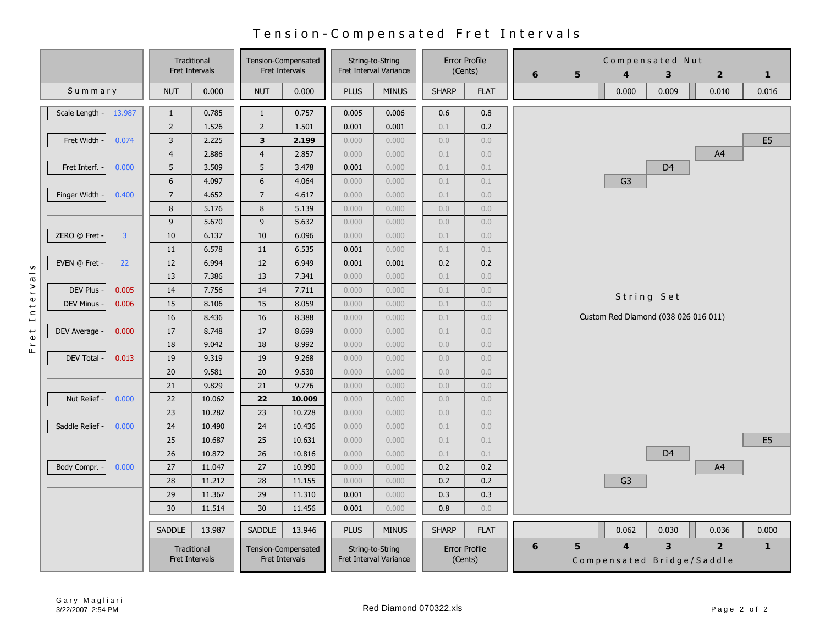## Tension - Compensated Fret Intervals

|                                 | Traditional<br><b>Fret Intervals</b> |        | <b>Fret Intervals</b> | Tension-Compensated |             | String-to-String<br>Fret Interval Variance                                    | <b>Error Profile</b><br>(Cents) |             | Compensated Nut<br>5<br>6<br>$\overline{4}$<br>3 |   | $\overline{2}$ | $\mathbf{1}$                              |                |                |
|---------------------------------|--------------------------------------|--------|-----------------------|---------------------|-------------|-------------------------------------------------------------------------------|---------------------------------|-------------|--------------------------------------------------|---|----------------|-------------------------------------------|----------------|----------------|
| Summary                         | <b>NUT</b>                           | 0.000  | <b>NUT</b>            | 0.000               | <b>PLUS</b> | <b>MINUS</b>                                                                  | <b>SHARP</b>                    | <b>FLAT</b> |                                                  |   | 0.000          | 0.009                                     | 0.010          | 0.016          |
| Scale Length - 13.987           | $\mathbf{1}$                         | 0.785  | $\mathbf{1}$          | 0.757               | 0.005       | 0.006                                                                         | 0.6                             | 0.8         |                                                  |   |                |                                           |                |                |
|                                 | $\mathsf 2$                          | 1.526  | $\overline{2}$        | 1.501               | 0.001       | 0.001                                                                         | 0.1                             | 0.2         |                                                  |   |                |                                           |                |                |
| Fret Width - 0.074              | $\overline{3}$                       | 2.225  | $\overline{3}$        | 2.199               | 0.000       | 0.000                                                                         | 0.0                             | 0.0         |                                                  |   |                |                                           |                | E <sub>5</sub> |
|                                 | $\overline{4}$                       | 2.886  | $\overline{4}$        | 2.857               | 0.000       | 0.000                                                                         | 0.1                             | 0.0         |                                                  |   |                |                                           | A4             |                |
| Fret Interf. -<br>0.000         | 5                                    | 3.509  | 5                     | 3.478               | 0.001       | 0.000                                                                         | 0.1                             | 0.1         |                                                  |   |                | D <sub>4</sub>                            |                |                |
|                                 | $\boldsymbol{6}$                     | 4.097  | $\boldsymbol{6}$      | 4.064               | 0.000       | 0.000                                                                         | 0.1                             | 0.1         |                                                  |   | G <sub>3</sub> |                                           |                |                |
| Finger Width -<br>0.400         | $\overline{7}$                       | 4.652  | $\overline{7}$        | 4.617               | 0.000       | 0.000                                                                         | 0.1                             | 0.0         |                                                  |   |                |                                           |                |                |
|                                 | 8                                    | 5.176  | 8                     | 5.139               | 0.000       | 0.000                                                                         | 0.0                             | 0.0         |                                                  |   |                |                                           |                |                |
|                                 | 9                                    | 5.670  | 9                     | 5.632               | 0.000       | 0.000                                                                         | 0.0                             | 0.0         |                                                  |   |                |                                           |                |                |
| ZERO @ Fret -<br>$\overline{3}$ | 10                                   | 6.137  | 10                    | 6.096               | 0.000       | 0.000                                                                         | 0.1                             | 0.0         |                                                  |   |                |                                           |                |                |
|                                 | 11                                   | 6.578  | 11                    | 6.535               | 0.001       | 0.000                                                                         | 0.1                             | 0.1         |                                                  |   |                |                                           |                |                |
| EVEN @ Fret -<br>22             | 12                                   | 6.994  | 12                    | 6.949               | 0.001       | 0.001                                                                         | 0.2                             | 0.2         |                                                  |   |                |                                           |                |                |
|                                 | 13                                   | 7.386  | 13                    | 7.341               | 0.000       | 0.000                                                                         | 0.1                             | 0.0         |                                                  |   |                |                                           |                |                |
| DEV Plus -<br>0.005             | 14                                   | 7.756  | 14                    | 7.711               | 0.000       | 0.000                                                                         | 0.1                             | 0.0         |                                                  |   |                |                                           |                |                |
| DEV Minus -<br>0.006            | 15                                   | 8.106  | 15                    | 8.059               | 0.000       | 0.000                                                                         | 0.1                             | 0.0         |                                                  |   |                | String Set                                |                |                |
|                                 | 16                                   | 8.436  | 16                    | 8.388               | 0.000       | 0.000                                                                         | 0.1                             | 0.0         |                                                  |   |                | Custom Red Diamond (038 026 016 011)      |                |                |
| DEV Average -<br>0.000          | 17                                   | 8.748  | 17                    | 8.699               | 0.000       | 0.000                                                                         | 0.1                             | 0.0         |                                                  |   |                |                                           |                |                |
|                                 | 18                                   | 9.042  | 18                    | 8.992               | 0.000       | 0.000                                                                         | 0.0                             | 0.0         |                                                  |   |                |                                           |                |                |
| DEV Total -<br>0.013            | 19                                   | 9.319  | 19                    | 9.268               | 0.000       | 0.000                                                                         | 0.0                             | 0.0         |                                                  |   |                |                                           |                |                |
|                                 | 20                                   | 9.581  | 20                    | 9.530               | 0.000       | 0.000                                                                         | 0.0                             | 0.0         |                                                  |   |                |                                           |                |                |
|                                 | 21                                   | 9.829  | 21                    | 9.776               | 0.000       | 0.000                                                                         | 0.0                             | 0.0         |                                                  |   |                |                                           |                |                |
| Nut Relief - 0.000              | 22                                   | 10.062 | 22                    | 10.009              | 0.000       | 0.000                                                                         | 0.0                             | 0.0         |                                                  |   |                |                                           |                |                |
|                                 | 23                                   | 10.282 | 23                    | 10.228              | 0.000       | 0.000                                                                         | 0.0                             | 0.0         |                                                  |   |                |                                           |                |                |
| Saddle Relief -<br>0.000        | 24                                   | 10.490 | 24                    | 10.436              | 0.000       | 0.000                                                                         | 0.1                             | 0.0         |                                                  |   |                |                                           |                |                |
|                                 | 25                                   | 10.687 | 25                    | 10.631              | 0.000       | 0.000                                                                         | 0.1                             | 0.1         |                                                  |   |                |                                           |                | E <sub>5</sub> |
|                                 | 26                                   | 10.872 | 26                    | 10.816              | 0.000       | 0.000                                                                         | 0.1                             | 0.1         |                                                  |   |                | D <sub>4</sub>                            |                |                |
| Body Compr. -<br>0.000          | 27                                   | 11.047 | 27                    | 10.990              | 0.000       | 0.000                                                                         | 0.2                             | 0.2         |                                                  |   |                |                                           | A4             |                |
|                                 | 28                                   | 11.212 | 28                    | 11.155              | 0.000       | 0.000                                                                         | 0.2                             | 0.2         |                                                  |   | G <sub>3</sub> |                                           |                |                |
|                                 | 29                                   | 11.367 | 29                    | 11.310              | 0.001       | 0.000                                                                         | 0.3                             | 0.3         |                                                  |   |                |                                           |                |                |
|                                 | 30                                   | 11.514 | 30                    | 11.456              | 0.001       | 0.000                                                                         | 0.8                             | 0.0         |                                                  |   |                |                                           |                |                |
|                                 | <b>SADDLE</b>                        | 13.987 | <b>SADDLE</b>         | 13.946              | <b>PLUS</b> | <b>MINUS</b>                                                                  | <b>SHARP</b>                    | <b>FLAT</b> |                                                  |   | 0.062          | 0.030                                     | 0.036          | 0.000          |
|                                 | Traditional<br>Fret Intervals        |        | Fret Intervals        | Tension-Compensated |             | <b>Error Profile</b><br>String-to-String<br>Fret Interval Variance<br>(Cents) |                                 |             | 6                                                | 5 | $\overline{4}$ | $\mathbf{3}$<br>Compensated Bridge/Saddle | $\overline{2}$ | $\mathbf{1}$   |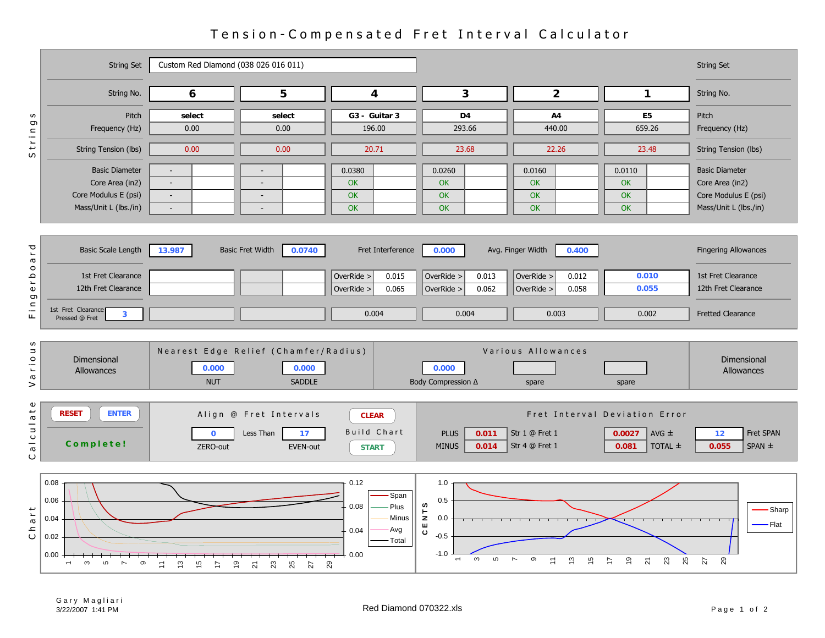|                                                    | <b>String Set</b>                                                                         | Custom Red Diamond (038 026 016 011)                |                                                                   |                                                                          |                                                                     |                                                            |                                                                          | <b>String Set</b>                                                                         |
|----------------------------------------------------|-------------------------------------------------------------------------------------------|-----------------------------------------------------|-------------------------------------------------------------------|--------------------------------------------------------------------------|---------------------------------------------------------------------|------------------------------------------------------------|--------------------------------------------------------------------------|-------------------------------------------------------------------------------------------|
|                                                    | String No.                                                                                | 6                                                   | 5                                                                 | 4                                                                        | 3                                                                   | $\overline{2}$                                             | $\mathbf{1}$                                                             | String No.                                                                                |
| w<br>ס                                             | Pitch<br>Frequency (Hz)                                                                   | select<br>0.00                                      | select<br>0.00                                                    | G3 - Guitar 3<br>196.00                                                  | D <sub>4</sub><br>293.66                                            | A4<br>440.00                                               | E <sub>5</sub><br>659.26                                                 | Pitch<br>Frequency (Hz)                                                                   |
| Strin                                              | String Tension (lbs)                                                                      | 0.00                                                | 0.00                                                              | 20.71                                                                    | 23.68                                                               | 22.26                                                      | 23.48                                                                    | String Tension (lbs)                                                                      |
|                                                    | <b>Basic Diameter</b><br>Core Area (in2)<br>Core Modulus E (psi)<br>Mass/Unit L (lbs./in) | $\sim$<br>$\sim$<br>$\sim$                          | $\overline{\phantom{a}}$<br>$\overline{\phantom{a}}$              | 0.0380<br><b>OK</b><br>OK<br>OK                                          | 0.0260<br><b>OK</b><br>OK<br>OK                                     | 0.0160<br>OK<br>OK<br>OK                                   | 0.0110<br><b>OK</b><br><b>OK</b><br>OK                                   | <b>Basic Diameter</b><br>Core Area (in2)<br>Core Modulus E (psi)<br>Mass/Unit L (lbs./in) |
| ŗ<br>$\varpi$<br>$\circ$                           | <b>Basic Scale Length</b>                                                                 | 13.987                                              | <b>Basic Fret Width</b><br>0.0740                                 | Fret Interference                                                        | 0.000                                                               | Avg. Finger Width<br>0.400                                 |                                                                          | <b>Fingering Allowances</b>                                                               |
| ٩<br>$\overline{\phantom{a}}$<br>$\mathbb U$<br>g  | 1st Fret Clearance<br>12th Fret Clearance                                                 |                                                     |                                                                   | OverRide ><br>0.015<br>0.065<br>OverRide >                               | OverRide ><br>0.013<br>0.062<br>OverRide >                          | OverRide ><br>0.012<br>0.058<br>OverRide >                 | 0.010<br>0.055                                                           | 1st Fret Clearance<br>12th Fret Clearance                                                 |
| $\frac{c}{L}$                                      | 1st Fret Clearance<br>$\mathbf{3}$<br>Pressed @ Fret                                      |                                                     |                                                                   | 0.004                                                                    | 0.004                                                               | 0.003                                                      | 0.002                                                                    | <b>Fretted Clearance</b>                                                                  |
| w<br>$\mathrel{\square}$<br>$\circ$<br>Ξ<br>G<br>> | Dimensional<br>Allowances                                                                 | 0.000<br><b>NUT</b>                                 | Nearest Edge Relief (Chamfer/Radius)<br>0.000<br><b>SADDLE</b>    |                                                                          | 0.000<br>Body Compression ∆                                         | Various Allowances<br>spare                                | spare                                                                    | Dimensional<br>Allowances                                                                 |
| $\mathbf \omega$<br>$\frac{1}{p}$<br>a I cul<br>O  | <b>RESET</b><br><b>ENTER</b><br>Complete!                                                 | $\mathbf 0$<br>ZERO-out                             | Align @ Fret Intervals<br>Less Than<br>17<br>EVEN-out             | <b>CLEAR</b><br><b>Build Chart</b><br><b>START</b>                       | 0.011<br><b>PLUS</b><br><b>MINUS</b><br>0.014                       | Str 1 @ Fret 1<br>Str 4 @ Fret 1                           | Fret Interval Deviation Error<br>0.0027<br>AVG $\pm$<br>TOTAL ±<br>0.081 | Fret SPAN<br>12<br>$SPAN \pm$<br>0.055                                                    |
| a r t<br>Ч<br>О                                    | 0.08<br>0.06<br>0.04<br>0.02<br>0.00<br>ო<br>$\circ$<br>S<br>$\overline{ }$               | $\frac{3}{2}$<br>15<br>$\overline{z}$<br>$\ddot{ }$ | 23<br>25<br>29<br>$\overline{9}$<br>27<br>$\overline{\mathsf{S}}$ | 0.12<br>Span<br>Plus<br>0.08<br>Minus<br>Avg<br>0.04<br>Total<br>$-0.00$ | 1.0<br>0.5<br>w<br>CENT<br>0.0<br>$-0.5$<br>$-1.0$<br>$\infty$<br>5 | ၜ<br>$\tilde{c}$<br>$\overline{ }$<br>$\overline{z}$<br>15 | ္စာ<br>23<br>25<br>$\overline{2}$<br>$\overline{1}$                      | Sharp<br>Flat<br>29<br>$\overline{27}$                                                    |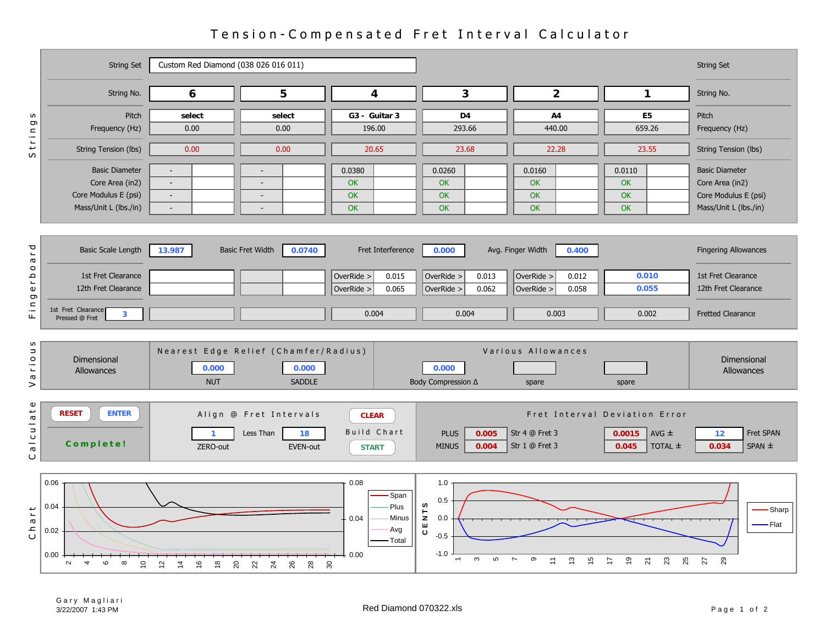|                                                                    | <b>String Set</b>                                                                                           | Custom Red Diamond (038 026 016 011)                               |                                                                |                                                                 |                                                                       |                                                                          |                                                                          | <b>String Set</b>                                                                         |
|--------------------------------------------------------------------|-------------------------------------------------------------------------------------------------------------|--------------------------------------------------------------------|----------------------------------------------------------------|-----------------------------------------------------------------|-----------------------------------------------------------------------|--------------------------------------------------------------------------|--------------------------------------------------------------------------|-------------------------------------------------------------------------------------------|
|                                                                    | String No.                                                                                                  | 6                                                                  | 5                                                              | 4                                                               | $\mathbf{3}$                                                          | $\overline{2}$                                                           | $\mathbf{1}$                                                             | String No.                                                                                |
| w<br>Ō                                                             | Pitch<br>Frequency (Hz)                                                                                     | select<br>0.00                                                     | select<br>0.00                                                 | G3 - Guitar 3<br>196.00                                         | D <sub>4</sub><br>293.66                                              | A4<br>440.00                                                             | E <sub>5</sub><br>659.26                                                 | Pitch<br>Frequency (Hz)                                                                   |
| trin<br>S                                                          | String Tension (lbs)                                                                                        | 0.00                                                               | 0.00                                                           | 20.65                                                           | 23.68                                                                 | 22.28                                                                    | 23.55                                                                    | String Tension (lbs)                                                                      |
|                                                                    | <b>Basic Diameter</b><br>Core Area (in2)<br>Core Modulus E (psi)<br>Mass/Unit L (lbs./in)                   | $\overline{\phantom{a}}$<br>$\sim$<br>$\sim$                       | $\sim$<br>$\overline{\phantom{a}}$                             | 0.0380<br>OK<br>OK<br>OK                                        | 0.0260<br>OK<br><b>OK</b><br>OK                                       | 0.0160<br><b>OK</b><br><b>OK</b><br><b>OK</b>                            | 0.0110<br><b>OK</b><br>OK<br><b>OK</b>                                   | <b>Basic Diameter</b><br>Core Area (in2)<br>Core Modulus E (psi)<br>Mass/Unit L (lbs./in) |
| ŗ<br>$\boldsymbol{\varpi}$<br>$\circ$<br>d J<br>$\pmb{\mathbb{U}}$ | <b>Basic Scale Length</b><br>1st Fret Clearance<br>12th Fret Clearance                                      | 13.987                                                             | <b>Basic Fret Width</b><br>0.0740                              | Fret Interference<br>OverRide ><br>0.015<br>0.065<br>OverRide > | 0.000<br>OverRide ><br>0.013<br>0.062<br>OverRide >                   | Avg. Finger Width<br>0.400<br>OverRide ><br>0.012<br>OverRide ><br>0.058 | 0.010<br>0.055                                                           | <b>Fingering Allowances</b><br>1st Fret Clearance<br>12th Fret Clearance                  |
| g<br>$\frac{c}{\pi}$                                               | 1st Fret Clearance<br>$\overline{\mathbf{3}}$<br>Pressed @ Fret                                             |                                                                    |                                                                | 0.004                                                           | 0.004                                                                 | 0.003                                                                    | 0.002                                                                    | <b>Fretted Clearance</b>                                                                  |
| w<br>$\rm _o$<br>Ξ<br>$\boldsymbol{\varpi}$<br>>                   | Dimensional<br>Allowances                                                                                   | 0.000<br><b>NUT</b>                                                | Nearest Edge Relief (Chamfer/Radius)<br>0.000<br><b>SADDLE</b> |                                                                 | 0.000<br>Body Compression Δ                                           | Various Allowances<br>spare                                              | spare                                                                    | Dimensional<br>Allowances                                                                 |
| $\pmb{\mathbb{U}}$<br>alculat<br>Ő                                 | <b>ENTER</b><br><b>RESET</b><br>Complete!                                                                   | ZERO-out                                                           | Align @ Fret Intervals<br>Less Than<br>18<br>EVEN-out          | <b>CLEAR</b><br>Build Chart<br><b>START</b>                     | <b>PLUS</b><br>0.005<br><b>MINUS</b><br>0.004                         | Str 4 @ Fret 3<br>Str 1 @ Fret 3                                         | Fret Interval Deviation Error<br>0.0015<br>AVG $\pm$<br>0.045<br>TOTAL ± | Fret SPAN<br>12<br>$SPAN \pm$<br>0.034                                                    |
| $\overline{r}$<br>Cha                                              | 0.06<br>0.04<br>0.02<br>0.00<br>$\infty$<br>$\overline{C}$<br>$\mathbf{\Omega}$<br>$\rightarrow$<br>$\circ$ | $\frac{6}{5}$<br>$\frac{8}{1}$<br>$\overline{2}$<br>$\overline{4}$ | 26<br>20<br>22<br>28<br>္တ<br>$^{24}$                          | 0.08<br>Span<br>Plus<br>Minus<br>0.04<br>Avg<br>Total<br>0.00   | 1.0<br>0.5<br><b>S</b><br>CENT<br>0.0<br>$-0.5$<br>$-1.0$<br>$\infty$ | $\overline{ }$<br>ၜ<br>$\tilde{c}$<br>15<br>$\Xi$                        | ္စာ<br>23<br>25<br>$\overline{2}$<br>$\overline{z}$                      | Sharp<br>· Flat<br>29<br>$\overline{27}$                                                  |